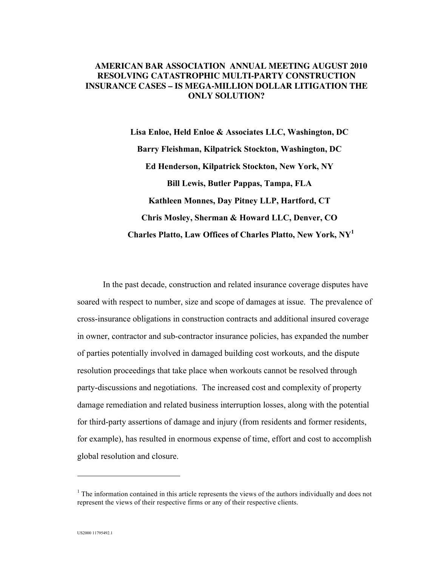## **AMERICAN BAR ASSOCIATION ANNUAL MEETING AUGUST 2010 RESOLVING CATASTROPHIC MULTI-PARTY CONSTRUCTION INSURANCE CASES – IS MEGA-MILLION DOLLAR LITIGATION THE ONLY SOLUTION?**

**Lisa Enloe, Held Enloe & Associates LLC, Washington, DC Barry Fleishman, Kilpatrick Stockton, Washington, DC Ed Henderson, Kilpatrick Stockton, New York, NY Bill Lewis, Butler Pappas, Tampa, FLA Kathleen Monnes, Day Pitney LLP, Hartford, CT Chris Mosley, Sherman & Howard LLC, Denver, CO Charles Platto, Law Offices of Charles Platto, New York, NY1**

In the past decade, construction and related insurance coverage disputes have soared with respect to number, size and scope of damages at issue. The prevalence of cross-insurance obligations in construction contracts and additional insured coverage in owner, contractor and sub-contractor insurance policies, has expanded the number of parties potentially involved in damaged building cost workouts, and the dispute resolution proceedings that take place when workouts cannot be resolved through party-discussions and negotiations. The increased cost and complexity of property damage remediation and related business interruption losses, along with the potential for third-party assertions of damage and injury (from residents and former residents, for example), has resulted in enormous expense of time, effort and cost to accomplish global resolution and closure.

 $\overline{a}$ 

 $<sup>1</sup>$  The information contained in this article represents the views of the authors individually and does not</sup> represent the views of their respective firms or any of their respective clients.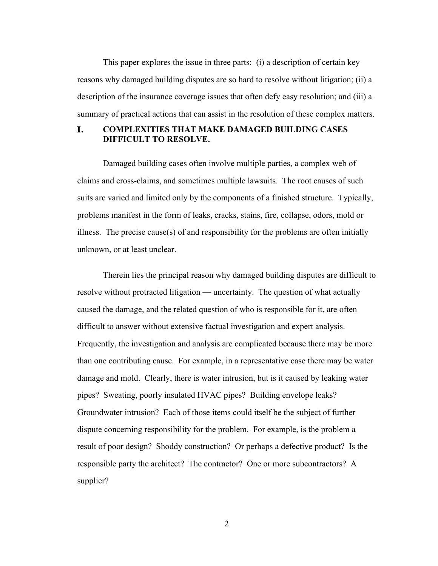This paper explores the issue in three parts: (i) a description of certain key reasons why damaged building disputes are so hard to resolve without litigation; (ii) a description of the insurance coverage issues that often defy easy resolution; and (iii) a summary of practical actions that can assist in the resolution of these complex matters.

# **I. COMPLEXITIES THAT MAKE DAMAGED BUILDING CASES DIFFICULT TO RESOLVE.**

Damaged building cases often involve multiple parties, a complex web of claims and cross-claims, and sometimes multiple lawsuits. The root causes of such suits are varied and limited only by the components of a finished structure. Typically, problems manifest in the form of leaks, cracks, stains, fire, collapse, odors, mold or illness. The precise cause(s) of and responsibility for the problems are often initially unknown, or at least unclear.

Therein lies the principal reason why damaged building disputes are difficult to resolve without protracted litigation — uncertainty. The question of what actually caused the damage, and the related question of who is responsible for it, are often difficult to answer without extensive factual investigation and expert analysis. Frequently, the investigation and analysis are complicated because there may be more than one contributing cause. For example, in a representative case there may be water damage and mold. Clearly, there is water intrusion, but is it caused by leaking water pipes? Sweating, poorly insulated HVAC pipes? Building envelope leaks? Groundwater intrusion? Each of those items could itself be the subject of further dispute concerning responsibility for the problem. For example, is the problem a result of poor design? Shoddy construction? Or perhaps a defective product? Is the responsible party the architect? The contractor? One or more subcontractors? A supplier?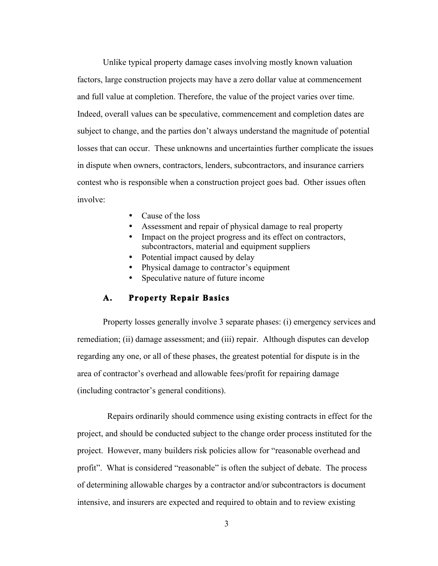Unlike typical property damage cases involving mostly known valuation factors, large construction projects may have a zero dollar value at commencement and full value at completion. Therefore, the value of the project varies over time. Indeed, overall values can be speculative, commencement and completion dates are subject to change, and the parties don't always understand the magnitude of potential losses that can occur. These unknowns and uncertainties further complicate the issues in dispute when owners, contractors, lenders, subcontractors, and insurance carriers contest who is responsible when a construction project goes bad. Other issues often involve:

- Cause of the loss
- Assessment and repair of physical damage to real property
- Impact on the project progress and its effect on contractors, subcontractors, material and equipment suppliers
- Potential impact caused by delay
- Physical damage to contractor's equipment
- Speculative nature of future income

# **A. Property Repair Basics**

Property losses generally involve 3 separate phases: (i) emergency services and remediation; (ii) damage assessment; and (iii) repair. Although disputes can develop regarding any one, or all of these phases, the greatest potential for dispute is in the area of contractor's overhead and allowable fees/profit for repairing damage (including contractor's general conditions).

 Repairs ordinarily should commence using existing contracts in effect for the project, and should be conducted subject to the change order process instituted for the project. However, many builders risk policies allow for "reasonable overhead and profit". What is considered "reasonable" is often the subject of debate. The process of determining allowable charges by a contractor and/or subcontractors is document intensive, and insurers are expected and required to obtain and to review existing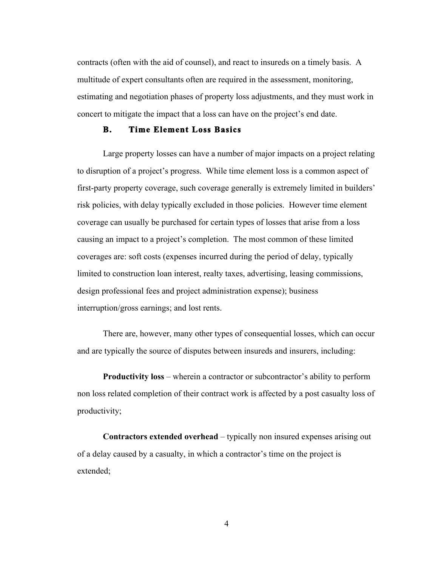contracts (often with the aid of counsel), and react to insureds on a timely basis. A multitude of expert consultants often are required in the assessment, monitoring, estimating and negotiation phases of property loss adjustments, and they must work in concert to mitigate the impact that a loss can have on the project's end date.

# **B. Time Element Loss Basics**

Large property losses can have a number of major impacts on a project relating to disruption of a project's progress. While time element loss is a common aspect of first-party property coverage, such coverage generally is extremely limited in builders' risk policies, with delay typically excluded in those policies. However time element coverage can usually be purchased for certain types of losses that arise from a loss causing an impact to a project's completion. The most common of these limited coverages are: soft costs (expenses incurred during the period of delay, typically limited to construction loan interest, realty taxes, advertising, leasing commissions, design professional fees and project administration expense); business interruption/gross earnings; and lost rents.

There are, however, many other types of consequential losses, which can occur and are typically the source of disputes between insureds and insurers, including:

**Productivity loss** – wherein a contractor or subcontractor's ability to perform non loss related completion of their contract work is affected by a post casualty loss of productivity;

**Contractors extended overhead** – typically non insured expenses arising out of a delay caused by a casualty, in which a contractor's time on the project is extended;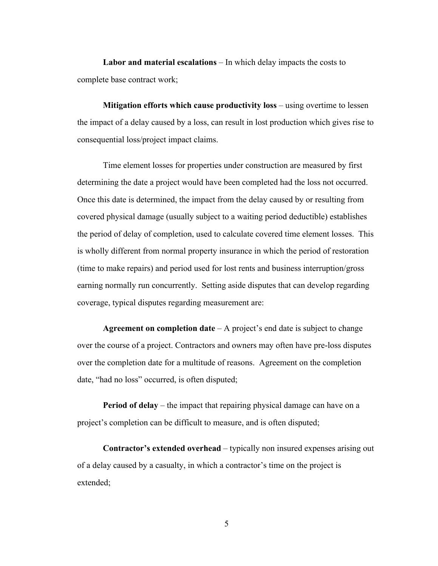**Labor and material escalations** – In which delay impacts the costs to complete base contract work;

**Mitigation efforts which cause productivity loss** – using overtime to lessen the impact of a delay caused by a loss, can result in lost production which gives rise to consequential loss/project impact claims.

Time element losses for properties under construction are measured by first determining the date a project would have been completed had the loss not occurred. Once this date is determined, the impact from the delay caused by or resulting from covered physical damage (usually subject to a waiting period deductible) establishes the period of delay of completion, used to calculate covered time element losses. This is wholly different from normal property insurance in which the period of restoration (time to make repairs) and period used for lost rents and business interruption/gross earning normally run concurrently. Setting aside disputes that can develop regarding coverage, typical disputes regarding measurement are:

**Agreement on completion date** – A project's end date is subject to change over the course of a project. Contractors and owners may often have pre-loss disputes over the completion date for a multitude of reasons. Agreement on the completion date, "had no loss" occurred, is often disputed;

**Period of delay** – the impact that repairing physical damage can have on a project's completion can be difficult to measure, and is often disputed;

**Contractor's extended overhead** – typically non insured expenses arising out of a delay caused by a casualty, in which a contractor's time on the project is extended;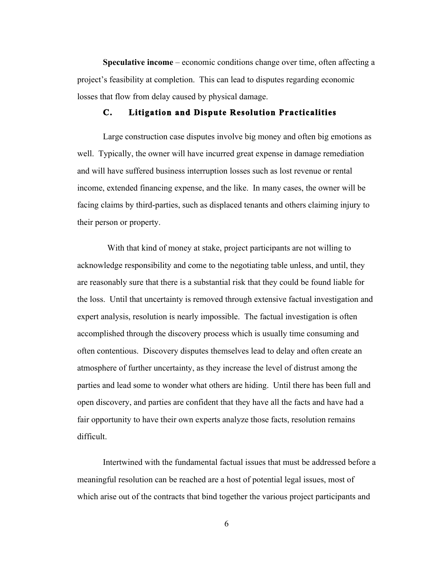**Speculative income** – economic conditions change over time, often affecting a project's feasibility at completion. This can lead to disputes regarding economic losses that flow from delay caused by physical damage.

### **C. Litigation and Dispute Resolution Practicalities**

Large construction case disputes involve big money and often big emotions as well. Typically, the owner will have incurred great expense in damage remediation and will have suffered business interruption losses such as lost revenue or rental income, extended financing expense, and the like. In many cases, the owner will be facing claims by third-parties, such as displaced tenants and others claiming injury to their person or property.

 With that kind of money at stake, project participants are not willing to acknowledge responsibility and come to the negotiating table unless, and until, they are reasonably sure that there is a substantial risk that they could be found liable for the loss. Until that uncertainty is removed through extensive factual investigation and expert analysis, resolution is nearly impossible. The factual investigation is often accomplished through the discovery process which is usually time consuming and often contentious. Discovery disputes themselves lead to delay and often create an atmosphere of further uncertainty, as they increase the level of distrust among the parties and lead some to wonder what others are hiding. Until there has been full and open discovery, and parties are confident that they have all the facts and have had a fair opportunity to have their own experts analyze those facts, resolution remains difficult.

Intertwined with the fundamental factual issues that must be addressed before a meaningful resolution can be reached are a host of potential legal issues, most of which arise out of the contracts that bind together the various project participants and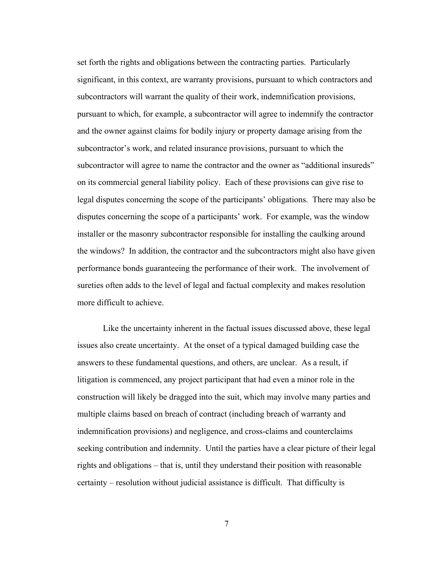set forth the rights and obligations between the contracting parties. Particularly significant, in this context, are warranty provisions, pursuant to which contractors and subcontractors will warrant the quality of their work, indemnification provisions, pursuant to which, for example, a subcontractor will agree to indemnify the contractor and the owner against claims for bodily injury or property damage arising from the subcontractor's work, and related insurance provisions, pursuant to which the subcontractor will agree to name the contractor and the owner as "additional insureds" on its commercial general liability policy. Each of these provisions can give rise to legal disputes concerning the scope of the participants' obligations. There may also be disputes concerning the scope of a participants' work. For example, was the window installer or the masonry subcontractor responsible for installing the caulking around the windows? In addition, the contractor and the subcontractors might also have given performance bonds guaranteeing the performance of their work. The involvement of sureties often adds to the level of legal and factual complexity and makes resolution more difficult to achieve.

Like the uncertainty inherent in the factual issues discussed above, these legal issues also create uncertainty. At the onset of a typical damaged building case the answers to these fundamental questions, and others, are unclear. As a result, if litigation is commenced, any project participant that had even a minor role in the construction will likely be dragged into the suit, which may involve many parties and multiple claims based on breach of contract (including breach of warranty and indemnification provisions) and negligence, and cross-claims and counterclaims seeking contribution and indemnity. Until the parties have a clear picture of their legal rights and obligations – that is, until they understand their position with reasonable certainty – resolution without judicial assistance is difficult. That difficulty is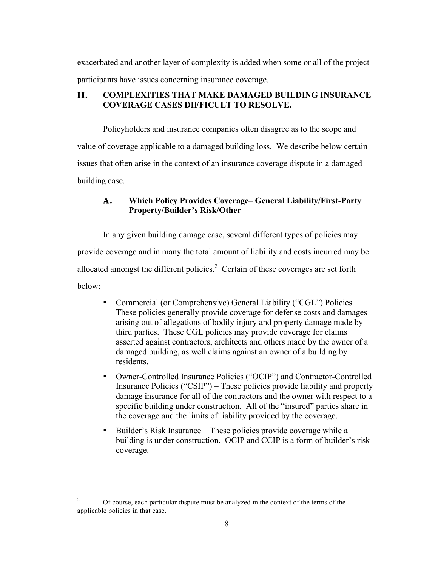exacerbated and another layer of complexity is added when some or all of the project participants have issues concerning insurance coverage.

# **II. COMPLEXITIES THAT MAKE DAMAGED BUILDING INSURANCE COVERAGE CASES DIFFICULT TO RESOLVE.**

Policyholders and insurance companies often disagree as to the scope and value of coverage applicable to a damaged building loss. We describe below certain issues that often arise in the context of an insurance coverage dispute in a damaged building case.

# **A. Which Policy Provides Coverage– General Liability/First-Party Property/Builder's Risk/Other**

In any given building damage case, several different types of policies may provide coverage and in many the total amount of liability and costs incurred may be allocated amongst the different policies. $2$  Certain of these coverages are set forth below:

- Commercial (or Comprehensive) General Liability ("CGL") Policies These policies generally provide coverage for defense costs and damages arising out of allegations of bodily injury and property damage made by third parties. These CGL policies may provide coverage for claims asserted against contractors, architects and others made by the owner of a damaged building, as well claims against an owner of a building by residents.
- Owner-Controlled Insurance Policies ("OCIP") and Contractor-Controlled Insurance Policies ("CSIP") – These policies provide liability and property damage insurance for all of the contractors and the owner with respect to a specific building under construction. All of the "insured" parties share in the coverage and the limits of liability provided by the coverage.
- Builder's Risk Insurance These policies provide coverage while a building is under construction. OCIP and CCIP is a form of builder's risk coverage.

 $\overline{a}$ 

<sup>&</sup>lt;sup>2</sup> Of course, each particular dispute must be analyzed in the context of the terms of the applicable policies in that case.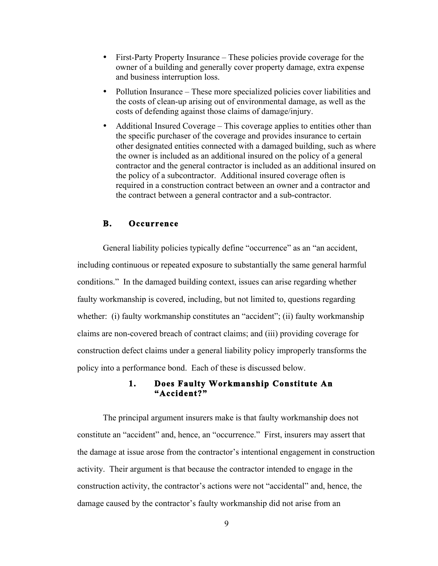- First-Party Property Insurance These policies provide coverage for the owner of a building and generally cover property damage, extra expense and business interruption loss.
- Pollution Insurance These more specialized policies cover liabilities and the costs of clean-up arising out of environmental damage, as well as the costs of defending against those claims of damage/injury.
- Additional Insured Coverage This coverage applies to entities other than the specific purchaser of the coverage and provides insurance to certain other designated entities connected with a damaged building, such as where the owner is included as an additional insured on the policy of a general contractor and the general contractor is included as an additional insured on the policy of a subcontractor. Additional insured coverage often is required in a construction contract between an owner and a contractor and the contract between a general contractor and a sub-contractor.

### **B. Occurrence**

General liability policies typically define "occurrence" as an "an accident, including continuous or repeated exposure to substantially the same general harmful conditions." In the damaged building context, issues can arise regarding whether faulty workmanship is covered, including, but not limited to, questions regarding whether: (i) faulty workmanship constitutes an "accident"; (ii) faulty workmanship claims are non-covered breach of contract claims; and (iii) providing coverage for construction defect claims under a general liability policy improperly transforms the policy into a performance bond. Each of these is discussed below.

## **1. Does Faulty Workmanship Constitute An "Accident?"**

The principal argument insurers make is that faulty workmanship does not constitute an "accident" and, hence, an "occurrence." First, insurers may assert that the damage at issue arose from the contractor's intentional engagement in construction activity. Their argument is that because the contractor intended to engage in the construction activity, the contractor's actions were not "accidental" and, hence, the damage caused by the contractor's faulty workmanship did not arise from an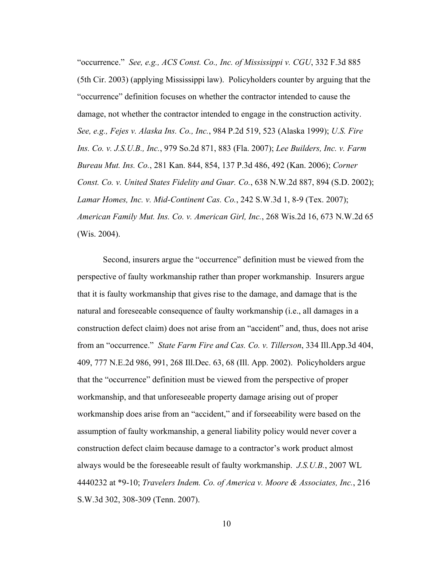"occurrence." *See, e.g., ACS Const. Co., Inc. of Mississippi v. CGU*, 332 F.3d 885 (5th Cir. 2003) (applying Mississippi law). Policyholders counter by arguing that the "occurrence" definition focuses on whether the contractor intended to cause the damage, not whether the contractor intended to engage in the construction activity. *See, e.g., Fejes v. Alaska Ins. Co., Inc.*, 984 P.2d 519, 523 (Alaska 1999); *U.S. Fire Ins. Co. v. J.S.U.B., Inc.*, 979 So.2d 871, 883 (Fla. 2007); *Lee Builders, Inc. v. Farm Bureau Mut. Ins. Co.*, 281 Kan. 844, 854, 137 P.3d 486, 492 (Kan. 2006); *Corner Const. Co. v. United States Fidelity and Guar. Co.*, 638 N.W.2d 887, 894 (S.D. 2002); *Lamar Homes, Inc. v. Mid-Continent Cas. Co.*, 242 S.W.3d 1, 8-9 (Tex. 2007); *American Family Mut. Ins. Co. v. American Girl, Inc.*, 268 Wis.2d 16, 673 N.W.2d 65 (Wis. 2004).

Second, insurers argue the "occurrence" definition must be viewed from the perspective of faulty workmanship rather than proper workmanship. Insurers argue that it is faulty workmanship that gives rise to the damage, and damage that is the natural and foreseeable consequence of faulty workmanship (i.e., all damages in a construction defect claim) does not arise from an "accident" and, thus, does not arise from an "occurrence." *State Farm Fire and Cas. Co. v. Tillerson*, 334 Ill.App.3d 404, 409, 777 N.E.2d 986, 991, 268 Ill.Dec. 63, 68 (Ill. App. 2002). Policyholders argue that the "occurrence" definition must be viewed from the perspective of proper workmanship, and that unforeseeable property damage arising out of proper workmanship does arise from an "accident," and if forseeability were based on the assumption of faulty workmanship, a general liability policy would never cover a construction defect claim because damage to a contractor's work product almost always would be the foreseeable result of faulty workmanship. *J.S.U.B.*, 2007 WL 4440232 at \*9-10; *Travelers Indem. Co. of America v. Moore & Associates, Inc.*, 216 S.W.3d 302, 308-309 (Tenn. 2007).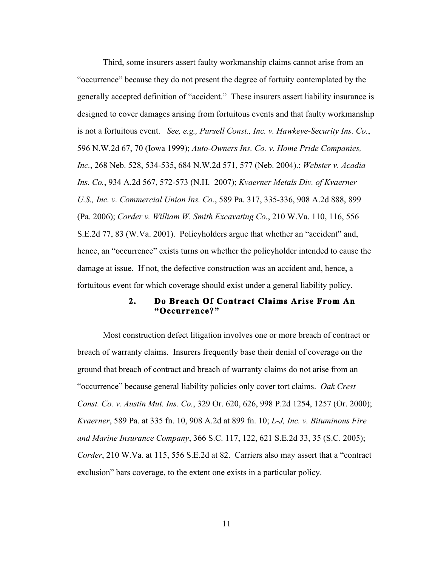Third, some insurers assert faulty workmanship claims cannot arise from an "occurrence" because they do not present the degree of fortuity contemplated by the generally accepted definition of "accident." These insurers assert liability insurance is designed to cover damages arising from fortuitous events and that faulty workmanship is not a fortuitous event. *See, e.g., Pursell Const., Inc. v. Hawkeye-Security Ins. Co.*, 596 N.W.2d 67, 70 (Iowa 1999); *Auto-Owners Ins. Co. v. Home Pride Companies, Inc.*, 268 Neb. 528, 534-535, 684 N.W.2d 571, 577 (Neb. 2004).; *Webster v. Acadia Ins. Co.*, 934 A.2d 567, 572-573 (N.H. 2007); *Kvaerner Metals Div. of Kvaerner U.S., Inc. v. Commercial Union Ins. Co.*, 589 Pa. 317, 335-336, 908 A.2d 888, 899 (Pa. 2006); *Corder v. William W. Smith Excavating Co.*, 210 W.Va. 110, 116, 556 S.E.2d 77, 83 (W.Va. 2001). Policyholders argue that whether an "accident" and, hence, an "occurrence" exists turns on whether the policyholder intended to cause the damage at issue. If not, the defective construction was an accident and, hence, a fortuitous event for which coverage should exist under a general liability policy.

### **2. Do Breach Of Contract Claims Arise From An "Occurrence?"**

Most construction defect litigation involves one or more breach of contract or breach of warranty claims. Insurers frequently base their denial of coverage on the ground that breach of contract and breach of warranty claims do not arise from an "occurrence" because general liability policies only cover tort claims. *Oak Crest Const. Co. v. Austin Mut. Ins. Co.*, 329 Or. 620, 626, 998 P.2d 1254, 1257 (Or. 2000); *Kvaerner*, 589 Pa. at 335 fn. 10, 908 A.2d at 899 fn. 10; *L-J, Inc. v. Bituminous Fire and Marine Insurance Company*, 366 S.C. 117, 122, 621 S.E.2d 33, 35 (S.C. 2005); *Corder*, 210 W.Va. at 115, 556 S.E.2d at 82. Carriers also may assert that a "contract exclusion" bars coverage, to the extent one exists in a particular policy.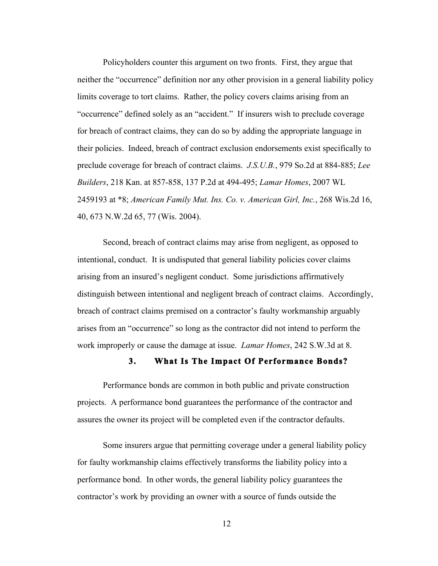Policyholders counter this argument on two fronts. First, they argue that neither the "occurrence" definition nor any other provision in a general liability policy limits coverage to tort claims. Rather, the policy covers claims arising from an "occurrence" defined solely as an "accident." If insurers wish to preclude coverage for breach of contract claims, they can do so by adding the appropriate language in their policies. Indeed, breach of contract exclusion endorsements exist specifically to preclude coverage for breach of contract claims. *J.S.U.B.*, 979 So.2d at 884-885; *Lee Builders*, 218 Kan. at 857-858, 137 P.2d at 494-495; *Lamar Homes*, 2007 WL 2459193 at \*8; *American Family Mut. Ins. Co. v. American Girl, Inc.*, 268 Wis.2d 16, 40, 673 N.W.2d 65, 77 (Wis. 2004).

Second, breach of contract claims may arise from negligent, as opposed to intentional, conduct. It is undisputed that general liability policies cover claims arising from an insured's negligent conduct. Some jurisdictions affirmatively distinguish between intentional and negligent breach of contract claims. Accordingly, breach of contract claims premised on a contractor's faulty workmanship arguably arises from an "occurrence" so long as the contractor did not intend to perform the work improperly or cause the damage at issue. *Lamar Homes*, 242 S.W.3d at 8.

#### **3. What Is The Impact Of Performance Bonds?**

Performance bonds are common in both public and private construction projects. A performance bond guarantees the performance of the contractor and assures the owner its project will be completed even if the contractor defaults.

Some insurers argue that permitting coverage under a general liability policy for faulty workmanship claims effectively transforms the liability policy into a performance bond. In other words, the general liability policy guarantees the contractor's work by providing an owner with a source of funds outside the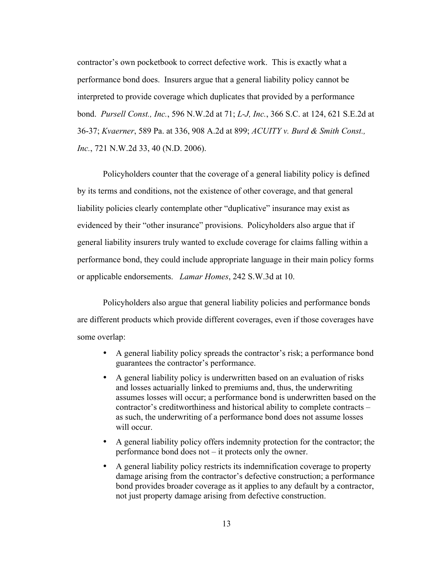contractor's own pocketbook to correct defective work. This is exactly what a performance bond does. Insurers argue that a general liability policy cannot be interpreted to provide coverage which duplicates that provided by a performance bond. *Pursell Const., Inc.*, 596 N.W.2d at 71; *L-J, Inc.*, 366 S.C. at 124, 621 S.E.2d at 36-37; *Kvaerner*, 589 Pa. at 336, 908 A.2d at 899; *ACUITY v. Burd & Smith Const., Inc.*, 721 N.W.2d 33, 40 (N.D. 2006).

Policyholders counter that the coverage of a general liability policy is defined by its terms and conditions, not the existence of other coverage, and that general liability policies clearly contemplate other "duplicative" insurance may exist as evidenced by their "other insurance" provisions. Policyholders also argue that if general liability insurers truly wanted to exclude coverage for claims falling within a performance bond, they could include appropriate language in their main policy forms or applicable endorsements. *Lamar Homes*, 242 S.W.3d at 10.

Policyholders also argue that general liability policies and performance bonds are different products which provide different coverages, even if those coverages have some overlap:

- A general liability policy spreads the contractor's risk; a performance bond guarantees the contractor's performance.
- A general liability policy is underwritten based on an evaluation of risks and losses actuarially linked to premiums and, thus, the underwriting assumes losses will occur; a performance bond is underwritten based on the contractor's creditworthiness and historical ability to complete contracts – as such, the underwriting of a performance bond does not assume losses will occur.
- A general liability policy offers indemnity protection for the contractor; the performance bond does not – it protects only the owner.
- A general liability policy restricts its indemnification coverage to property damage arising from the contractor's defective construction; a performance bond provides broader coverage as it applies to any default by a contractor, not just property damage arising from defective construction.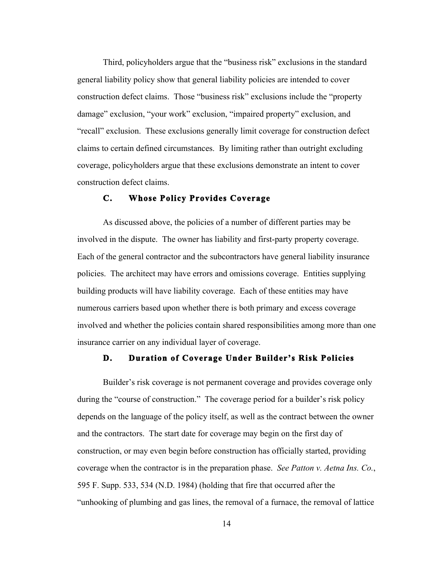Third, policyholders argue that the "business risk" exclusions in the standard general liability policy show that general liability policies are intended to cover construction defect claims. Those "business risk" exclusions include the "property damage" exclusion, "your work" exclusion, "impaired property" exclusion, and "recall" exclusion. These exclusions generally limit coverage for construction defect claims to certain defined circumstances. By limiting rather than outright excluding coverage, policyholders argue that these exclusions demonstrate an intent to cover construction defect claims.

### **C. Whose Policy Provides Coverage**

As discussed above, the policies of a number of different parties may be involved in the dispute. The owner has liability and first-party property coverage. Each of the general contractor and the subcontractors have general liability insurance policies. The architect may have errors and omissions coverage. Entities supplying building products will have liability coverage. Each of these entities may have numerous carriers based upon whether there is both primary and excess coverage involved and whether the policies contain shared responsibilities among more than one insurance carrier on any individual layer of coverage.

#### **D. Duration of Coverage Under Builder's Risk Policies**

Builder's risk coverage is not permanent coverage and provides coverage only during the "course of construction." The coverage period for a builder's risk policy depends on the language of the policy itself, as well as the contract between the owner and the contractors. The start date for coverage may begin on the first day of construction, or may even begin before construction has officially started, providing coverage when the contractor is in the preparation phase. *See Patton v. Aetna Ins. Co.*, 595 F. Supp. 533, 534 (N.D. 1984) (holding that fire that occurred after the "unhooking of plumbing and gas lines, the removal of a furnace, the removal of lattice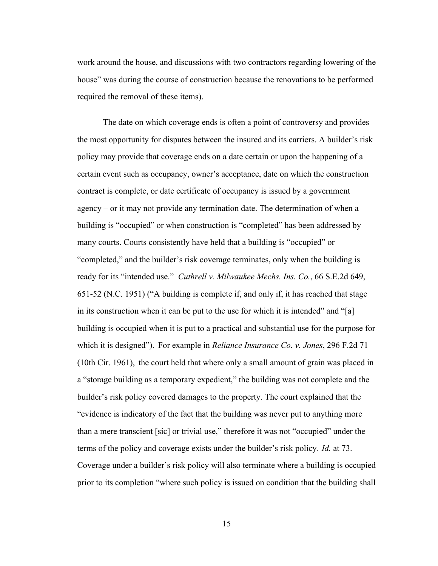work around the house, and discussions with two contractors regarding lowering of the house" was during the course of construction because the renovations to be performed required the removal of these items).

The date on which coverage ends is often a point of controversy and provides the most opportunity for disputes between the insured and its carriers. A builder's risk policy may provide that coverage ends on a date certain or upon the happening of a certain event such as occupancy, owner's acceptance, date on which the construction contract is complete, or date certificate of occupancy is issued by a government agency – or it may not provide any termination date. The determination of when a building is "occupied" or when construction is "completed" has been addressed by many courts. Courts consistently have held that a building is "occupied" or "completed," and the builder's risk coverage terminates, only when the building is ready for its "intended use." *Cuthrell v. Milwaukee Mechs. Ins. Co.*, 66 S.E.2d 649, 651-52 (N.C. 1951) ("A building is complete if, and only if, it has reached that stage in its construction when it can be put to the use for which it is intended" and "[a] building is occupied when it is put to a practical and substantial use for the purpose for which it is designed"). For example in *Reliance Insurance Co. v. Jones*, 296 F.2d 71 (10th Cir. 1961), the court held that where only a small amount of grain was placed in a "storage building as a temporary expedient," the building was not complete and the builder's risk policy covered damages to the property. The court explained that the "evidence is indicatory of the fact that the building was never put to anything more than a mere transcient [sic] or trivial use," therefore it was not "occupied" under the terms of the policy and coverage exists under the builder's risk policy. *Id.* at 73. Coverage under a builder's risk policy will also terminate where a building is occupied prior to its completion "where such policy is issued on condition that the building shall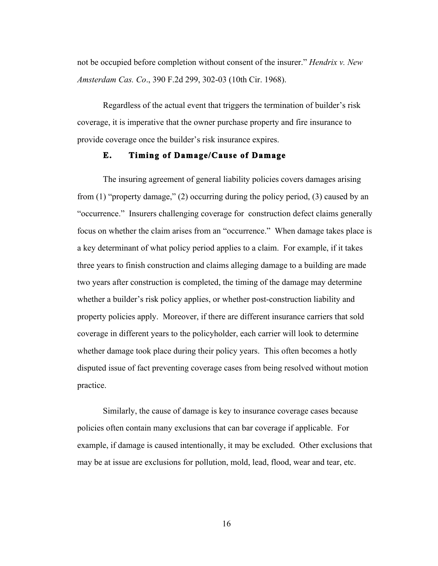not be occupied before completion without consent of the insurer." *Hendrix v. New Amsterdam Cas. Co*., 390 F.2d 299, 302-03 (10th Cir. 1968).

Regardless of the actual event that triggers the termination of builder's risk coverage, it is imperative that the owner purchase property and fire insurance to provide coverage once the builder's risk insurance expires.

### **E. Timing of Damage/Cause of Damage**

The insuring agreement of general liability policies covers damages arising from (1) "property damage," (2) occurring during the policy period, (3) caused by an "occurrence." Insurers challenging coverage for construction defect claims generally focus on whether the claim arises from an "occurrence." When damage takes place is a key determinant of what policy period applies to a claim. For example, if it takes three years to finish construction and claims alleging damage to a building are made two years after construction is completed, the timing of the damage may determine whether a builder's risk policy applies, or whether post-construction liability and property policies apply. Moreover, if there are different insurance carriers that sold coverage in different years to the policyholder, each carrier will look to determine whether damage took place during their policy years. This often becomes a hotly disputed issue of fact preventing coverage cases from being resolved without motion practice.

Similarly, the cause of damage is key to insurance coverage cases because policies often contain many exclusions that can bar coverage if applicable. For example, if damage is caused intentionally, it may be excluded. Other exclusions that may be at issue are exclusions for pollution, mold, lead, flood, wear and tear, etc.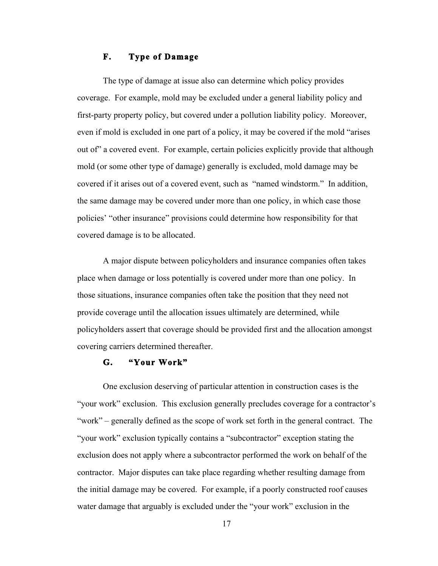# **F. Type of Damage**

The type of damage at issue also can determine which policy provides coverage. For example, mold may be excluded under a general liability policy and first-party property policy, but covered under a pollution liability policy. Moreover, even if mold is excluded in one part of a policy, it may be covered if the mold "arises out of" a covered event. For example, certain policies explicitly provide that although mold (or some other type of damage) generally is excluded, mold damage may be covered if it arises out of a covered event, such as "named windstorm." In addition, the same damage may be covered under more than one policy, in which case those policies' "other insurance" provisions could determine how responsibility for that covered damage is to be allocated.

A major dispute between policyholders and insurance companies often takes place when damage or loss potentially is covered under more than one policy. In those situations, insurance companies often take the position that they need not provide coverage until the allocation issues ultimately are determined, while policyholders assert that coverage should be provided first and the allocation amongst covering carriers determined thereafter.

### **G. "Your Work"**

One exclusion deserving of particular attention in construction cases is the "your work" exclusion. This exclusion generally precludes coverage for a contractor's "work" – generally defined as the scope of work set forth in the general contract. The "your work" exclusion typically contains a "subcontractor" exception stating the exclusion does not apply where a subcontractor performed the work on behalf of the contractor. Major disputes can take place regarding whether resulting damage from the initial damage may be covered. For example, if a poorly constructed roof causes water damage that arguably is excluded under the "your work" exclusion in the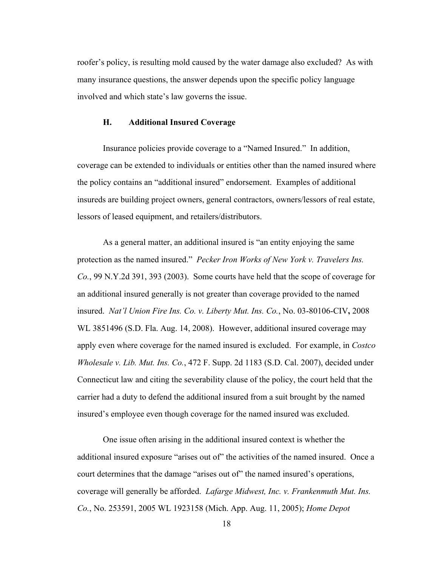roofer's policy, is resulting mold caused by the water damage also excluded? As with many insurance questions, the answer depends upon the specific policy language involved and which state's law governs the issue.

#### **H. Additional Insured Coverage**

Insurance policies provide coverage to a "Named Insured." In addition, coverage can be extended to individuals or entities other than the named insured where the policy contains an "additional insured" endorsement. Examples of additional insureds are building project owners, general contractors, owners/lessors of real estate, lessors of leased equipment, and retailers/distributors.

As a general matter, an additional insured is "an entity enjoying the same protection as the named insured." *Pecker Iron Works of New York v. Travelers Ins. Co.*, 99 N.Y.2d 391, 393 (2003). Some courts have held that the scope of coverage for an additional insured generally is not greater than coverage provided to the named insured. *Nat'l Union Fire Ins. Co. v. Liberty Mut. Ins. Co.*, No. 03-80106-CIV**,** 2008 WL 3851496 (S.D. Fla. Aug. 14, 2008). However, additional insured coverage may apply even where coverage for the named insured is excluded. For example, in *Costco Wholesale v. Lib. Mut. Ins. Co.*, 472 F. Supp. 2d 1183 (S.D. Cal. 2007), decided under Connecticut law and citing the severability clause of the policy, the court held that the carrier had a duty to defend the additional insured from a suit brought by the named insured's employee even though coverage for the named insured was excluded.

One issue often arising in the additional insured context is whether the additional insured exposure "arises out of" the activities of the named insured. Once a court determines that the damage "arises out of" the named insured's operations, coverage will generally be afforded. *Lafarge Midwest, Inc. v. Frankenmuth Mut. Ins. Co.*, No. 253591, 2005 WL 1923158 (Mich. App. Aug. 11, 2005); *Home Depot*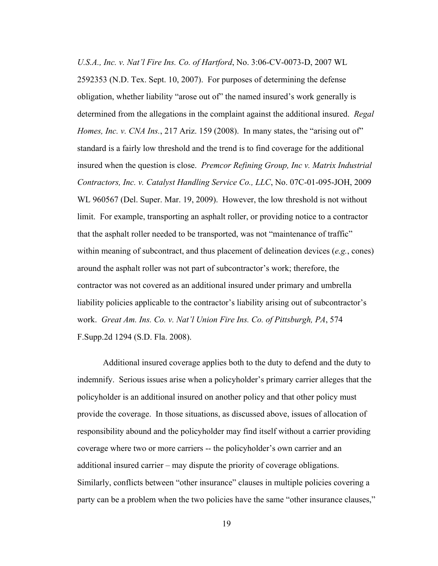*U.S.A., Inc. v. Nat'l Fire Ins. Co. of Hartford*, No. 3:06-CV-0073-D, 2007 WL 2592353 (N.D. Tex. Sept. 10, 2007). For purposes of determining the defense obligation, whether liability "arose out of" the named insured's work generally is determined from the allegations in the complaint against the additional insured. *Regal Homes, Inc. v. CNA Ins.*, 217 Ariz. 159 (2008). In many states, the "arising out of" standard is a fairly low threshold and the trend is to find coverage for the additional insured when the question is close. *Premcor Refining Group, Inc v. Matrix Industrial Contractors, Inc. v. Catalyst Handling Service Co., LLC*, No. 07C-01-095-JOH, 2009 WL 960567 (Del. Super. Mar. 19, 2009). However, the low threshold is not without limit. For example, transporting an asphalt roller, or providing notice to a contractor that the asphalt roller needed to be transported, was not "maintenance of traffic" within meaning of subcontract, and thus placement of delineation devices (*e.g.*, cones) around the asphalt roller was not part of subcontractor's work; therefore, the contractor was not covered as an additional insured under primary and umbrella liability policies applicable to the contractor's liability arising out of subcontractor's work. *Great Am. Ins. Co. v. Nat'l Union Fire Ins. Co. of Pittsburgh, PA*, 574 F.Supp.2d 1294 (S.D. Fla. 2008).

Additional insured coverage applies both to the duty to defend and the duty to indemnify. Serious issues arise when a policyholder's primary carrier alleges that the policyholder is an additional insured on another policy and that other policy must provide the coverage. In those situations, as discussed above, issues of allocation of responsibility abound and the policyholder may find itself without a carrier providing coverage where two or more carriers -- the policyholder's own carrier and an additional insured carrier – may dispute the priority of coverage obligations. Similarly, conflicts between "other insurance" clauses in multiple policies covering a party can be a problem when the two policies have the same "other insurance clauses,"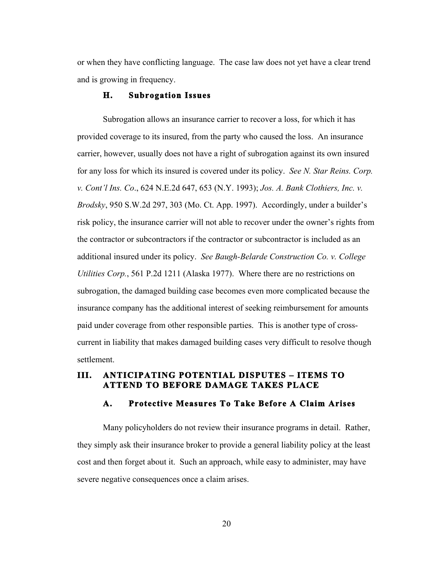or when they have conflicting language. The case law does not yet have a clear trend and is growing in frequency.

#### **H. Subrogation Issues**

Subrogation allows an insurance carrier to recover a loss, for which it has provided coverage to its insured, from the party who caused the loss. An insurance carrier, however, usually does not have a right of subrogation against its own insured for any loss for which its insured is covered under its policy. *See N. Star Reins. Corp. v. Cont'l Ins. Co*., 624 N.E.2d 647, 653 (N.Y. 1993); *Jos. A. Bank Clothiers, Inc. v. Brodsky*, 950 S.W.2d 297, 303 (Mo. Ct. App. 1997). Accordingly, under a builder's risk policy, the insurance carrier will not able to recover under the owner's rights from the contractor or subcontractors if the contractor or subcontractor is included as an additional insured under its policy. *See Baugh-Belarde Construction Co. v. College Utilities Corp.*, 561 P.2d 1211 (Alaska 1977). Where there are no restrictions on subrogation, the damaged building case becomes even more complicated because the insurance company has the additional interest of seeking reimbursement for amounts paid under coverage from other responsible parties. This is another type of crosscurrent in liability that makes damaged building cases very difficult to resolve though settlement.

# **III. ANTICIPATING POTENTIAL DISPUTES – ITEMS TO ATTEND TO BEFORE DAMAGE TAKES PLACE**

### **A. Protective Measures To Take Before A Claim Arises**

Many policyholders do not review their insurance programs in detail. Rather, they simply ask their insurance broker to provide a general liability policy at the least cost and then forget about it. Such an approach, while easy to administer, may have severe negative consequences once a claim arises.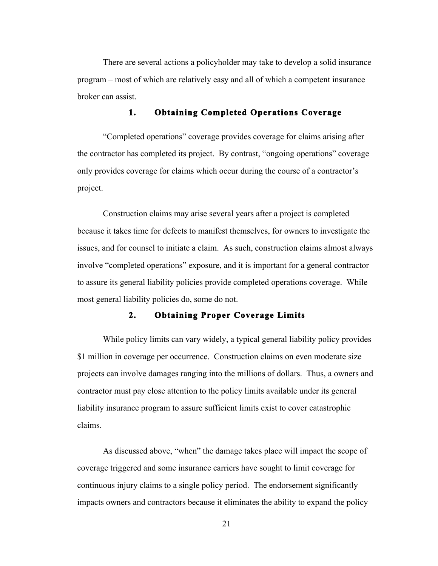There are several actions a policyholder may take to develop a solid insurance program – most of which are relatively easy and all of which a competent insurance broker can assist.

### **1. Obtaining Completed Operations Coverage**

"Completed operations" coverage provides coverage for claims arising after the contractor has completed its project. By contrast, "ongoing operations" coverage only provides coverage for claims which occur during the course of a contractor's project.

Construction claims may arise several years after a project is completed because it takes time for defects to manifest themselves, for owners to investigate the issues, and for counsel to initiate a claim. As such, construction claims almost always involve "completed operations" exposure, and it is important for a general contractor to assure its general liability policies provide completed operations coverage. While most general liability policies do, some do not.

# **2. Obtaining Proper Coverage Limits**

While policy limits can vary widely, a typical general liability policy provides \$1 million in coverage per occurrence. Construction claims on even moderate size projects can involve damages ranging into the millions of dollars. Thus, a owners and contractor must pay close attention to the policy limits available under its general liability insurance program to assure sufficient limits exist to cover catastrophic claims.

As discussed above, "when" the damage takes place will impact the scope of coverage triggered and some insurance carriers have sought to limit coverage for continuous injury claims to a single policy period. The endorsement significantly impacts owners and contractors because it eliminates the ability to expand the policy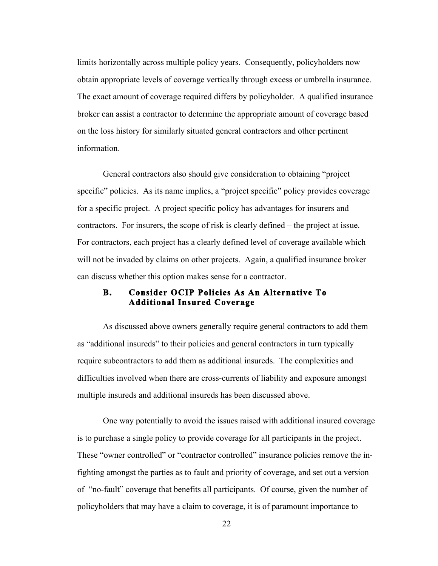limits horizontally across multiple policy years. Consequently, policyholders now obtain appropriate levels of coverage vertically through excess or umbrella insurance. The exact amount of coverage required differs by policyholder. A qualified insurance broker can assist a contractor to determine the appropriate amount of coverage based on the loss history for similarly situated general contractors and other pertinent information.

General contractors also should give consideration to obtaining "project specific" policies. As its name implies, a "project specific" policy provides coverage for a specific project. A project specific policy has advantages for insurers and contractors. For insurers, the scope of risk is clearly defined – the project at issue. For contractors, each project has a clearly defined level of coverage available which will not be invaded by claims on other projects. Again, a qualified insurance broker can discuss whether this option makes sense for a contractor.

# **B. Consider OCIP Policies As An Alternative To Additional Insured Coverage**

As discussed above owners generally require general contractors to add them as "additional insureds" to their policies and general contractors in turn typically require subcontractors to add them as additional insureds. The complexities and difficulties involved when there are cross-currents of liability and exposure amongst multiple insureds and additional insureds has been discussed above.

One way potentially to avoid the issues raised with additional insured coverage is to purchase a single policy to provide coverage for all participants in the project. These "owner controlled" or "contractor controlled" insurance policies remove the infighting amongst the parties as to fault and priority of coverage, and set out a version of "no-fault" coverage that benefits all participants. Of course, given the number of policyholders that may have a claim to coverage, it is of paramount importance to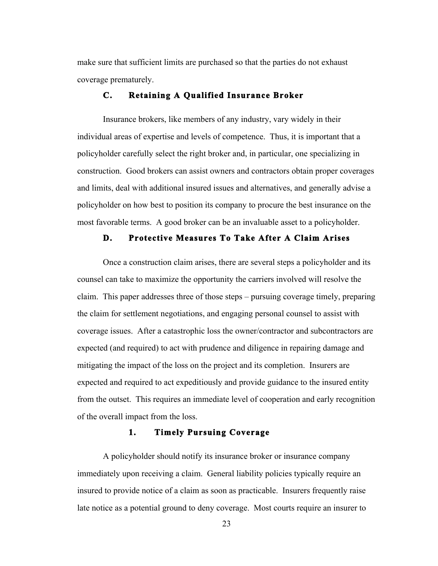make sure that sufficient limits are purchased so that the parties do not exhaust coverage prematurely.

## **C. Retaining A Qualified Insurance Broker**

Insurance brokers, like members of any industry, vary widely in their individual areas of expertise and levels of competence. Thus, it is important that a policyholder carefully select the right broker and, in particular, one specializing in construction. Good brokers can assist owners and contractors obtain proper coverages and limits, deal with additional insured issues and alternatives, and generally advise a policyholder on how best to position its company to procure the best insurance on the most favorable terms. A good broker can be an invaluable asset to a policyholder.

#### **D. Protective Measures To Take After A Claim Arises**

Once a construction claim arises, there are several steps a policyholder and its counsel can take to maximize the opportunity the carriers involved will resolve the claim. This paper addresses three of those steps – pursuing coverage timely, preparing the claim for settlement negotiations, and engaging personal counsel to assist with coverage issues. After a catastrophic loss the owner/contractor and subcontractors are expected (and required) to act with prudence and diligence in repairing damage and mitigating the impact of the loss on the project and its completion. Insurers are expected and required to act expeditiously and provide guidance to the insured entity from the outset. This requires an immediate level of cooperation and early recognition of the overall impact from the loss.

# **1. Timely Pursuing Coverage**

A policyholder should notify its insurance broker or insurance company immediately upon receiving a claim. General liability policies typically require an insured to provide notice of a claim as soon as practicable. Insurers frequently raise late notice as a potential ground to deny coverage. Most courts require an insurer to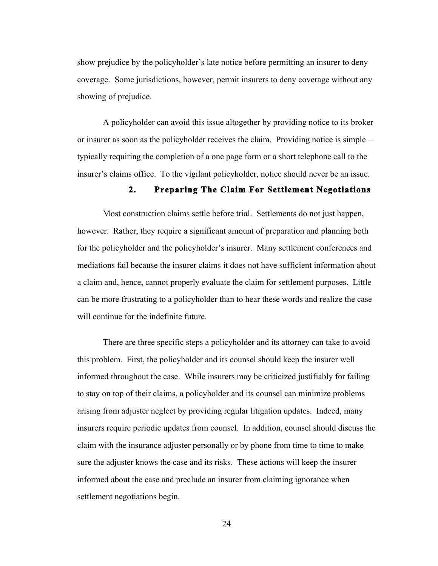show prejudice by the policyholder's late notice before permitting an insurer to deny coverage. Some jurisdictions, however, permit insurers to deny coverage without any showing of prejudice.

A policyholder can avoid this issue altogether by providing notice to its broker or insurer as soon as the policyholder receives the claim. Providing notice is simple – typically requiring the completion of a one page form or a short telephone call to the insurer's claims office. To the vigilant policyholder, notice should never be an issue.

# **2. Preparing The Claim For Settlement Negotiations**

Most construction claims settle before trial. Settlements do not just happen, however. Rather, they require a significant amount of preparation and planning both for the policyholder and the policyholder's insurer. Many settlement conferences and mediations fail because the insurer claims it does not have sufficient information about a claim and, hence, cannot properly evaluate the claim for settlement purposes. Little can be more frustrating to a policyholder than to hear these words and realize the case will continue for the indefinite future.

There are three specific steps a policyholder and its attorney can take to avoid this problem. First, the policyholder and its counsel should keep the insurer well informed throughout the case. While insurers may be criticized justifiably for failing to stay on top of their claims, a policyholder and its counsel can minimize problems arising from adjuster neglect by providing regular litigation updates. Indeed, many insurers require periodic updates from counsel. In addition, counsel should discuss the claim with the insurance adjuster personally or by phone from time to time to make sure the adjuster knows the case and its risks. These actions will keep the insurer informed about the case and preclude an insurer from claiming ignorance when settlement negotiations begin.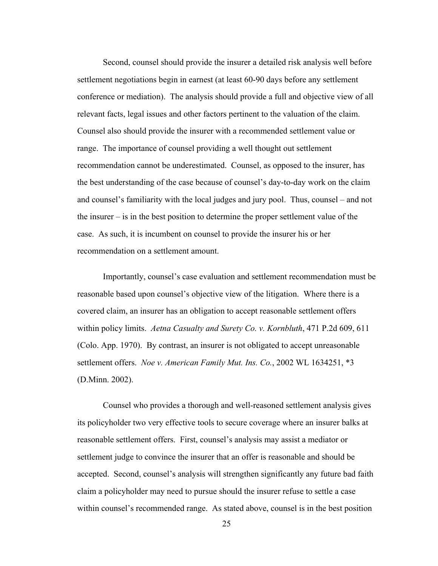Second, counsel should provide the insurer a detailed risk analysis well before settlement negotiations begin in earnest (at least 60-90 days before any settlement conference or mediation). The analysis should provide a full and objective view of all relevant facts, legal issues and other factors pertinent to the valuation of the claim. Counsel also should provide the insurer with a recommended settlement value or range. The importance of counsel providing a well thought out settlement recommendation cannot be underestimated. Counsel, as opposed to the insurer, has the best understanding of the case because of counsel's day-to-day work on the claim and counsel's familiarity with the local judges and jury pool. Thus, counsel – and not the insurer – is in the best position to determine the proper settlement value of the case. As such, it is incumbent on counsel to provide the insurer his or her recommendation on a settlement amount.

Importantly, counsel's case evaluation and settlement recommendation must be reasonable based upon counsel's objective view of the litigation. Where there is a covered claim, an insurer has an obligation to accept reasonable settlement offers within policy limits. *Aetna Casualty and Surety Co. v. Kornbluth*, 471 P.2d 609, 611 (Colo. App. 1970). By contrast, an insurer is not obligated to accept unreasonable settlement offers. *Noe v. American Family Mut. Ins. Co.*, 2002 WL 1634251, \*3 (D.Minn. 2002).

Counsel who provides a thorough and well-reasoned settlement analysis gives its policyholder two very effective tools to secure coverage where an insurer balks at reasonable settlement offers. First, counsel's analysis may assist a mediator or settlement judge to convince the insurer that an offer is reasonable and should be accepted. Second, counsel's analysis will strengthen significantly any future bad faith claim a policyholder may need to pursue should the insurer refuse to settle a case within counsel's recommended range. As stated above, counsel is in the best position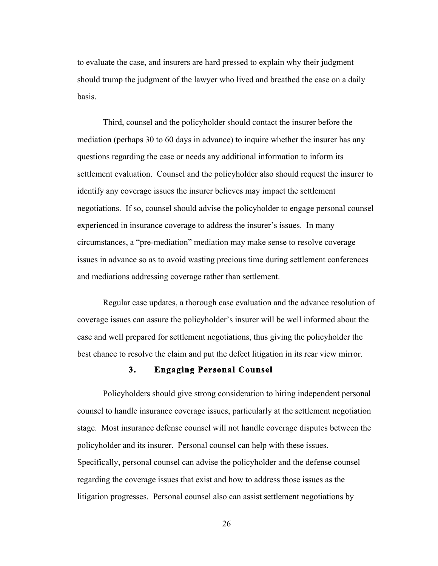to evaluate the case, and insurers are hard pressed to explain why their judgment should trump the judgment of the lawyer who lived and breathed the case on a daily basis.

Third, counsel and the policyholder should contact the insurer before the mediation (perhaps 30 to 60 days in advance) to inquire whether the insurer has any questions regarding the case or needs any additional information to inform its settlement evaluation. Counsel and the policyholder also should request the insurer to identify any coverage issues the insurer believes may impact the settlement negotiations. If so, counsel should advise the policyholder to engage personal counsel experienced in insurance coverage to address the insurer's issues. In many circumstances, a "pre-mediation" mediation may make sense to resolve coverage issues in advance so as to avoid wasting precious time during settlement conferences and mediations addressing coverage rather than settlement.

Regular case updates, a thorough case evaluation and the advance resolution of coverage issues can assure the policyholder's insurer will be well informed about the case and well prepared for settlement negotiations, thus giving the policyholder the best chance to resolve the claim and put the defect litigation in its rear view mirror.

# **3. Engaging Personal Counsel**

Policyholders should give strong consideration to hiring independent personal counsel to handle insurance coverage issues, particularly at the settlement negotiation stage. Most insurance defense counsel will not handle coverage disputes between the policyholder and its insurer. Personal counsel can help with these issues. Specifically, personal counsel can advise the policyholder and the defense counsel regarding the coverage issues that exist and how to address those issues as the litigation progresses. Personal counsel also can assist settlement negotiations by